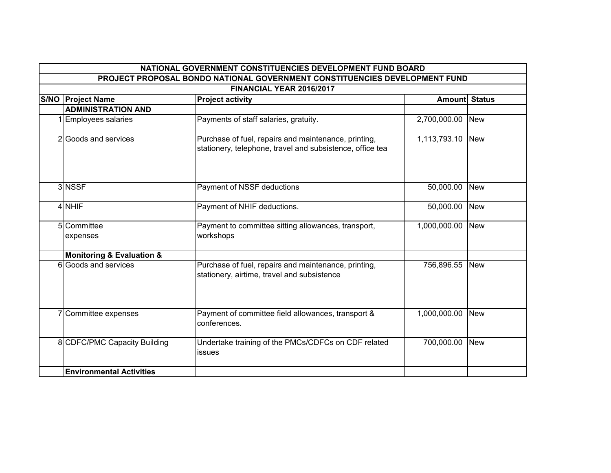| NATIONAL GOVERNMENT CONSTITUENCIES DEVELOPMENT FUND BOARD                                              |                                          |                                                                                                                   |              |            |
|--------------------------------------------------------------------------------------------------------|------------------------------------------|-------------------------------------------------------------------------------------------------------------------|--------------|------------|
| PROJECT PROPOSAL BONDO NATIONAL GOVERNMENT CONSTITUENCIES DEVELOPMENT FUND<br>FINANCIAL YEAR 2016/2017 |                                          |                                                                                                                   |              |            |
|                                                                                                        |                                          |                                                                                                                   |              |            |
|                                                                                                        | <b>ADMINISTRATION AND</b>                |                                                                                                                   |              |            |
|                                                                                                        | 1 Employees salaries                     | Payments of staff salaries, gratuity.                                                                             | 2,700,000.00 | <b>New</b> |
|                                                                                                        | 2 Goods and services                     | Purchase of fuel, repairs and maintenance, printing,<br>stationery, telephone, travel and subsistence, office tea | 1,113,793.10 | <b>New</b> |
|                                                                                                        | 3 NSSF                                   | Payment of NSSF deductions                                                                                        | 50,000.00    | <b>New</b> |
|                                                                                                        | 4 NHIF                                   | Payment of NHIF deductions.                                                                                       | 50,000.00    | <b>New</b> |
|                                                                                                        | 5 Committee<br>expenses                  | Payment to committee sitting allowances, transport,<br>workshops                                                  | 1,000,000.00 | <b>New</b> |
|                                                                                                        | <b>Monitoring &amp; Evaluation &amp;</b> |                                                                                                                   |              |            |
|                                                                                                        | 6 Goods and services                     | Purchase of fuel, repairs and maintenance, printing,<br>stationery, airtime, travel and subsistence               | 756,896.55   | <b>New</b> |
|                                                                                                        | 7 Committee expenses                     | Payment of committee field allowances, transport &<br>conferences.                                                | 1,000,000.00 | <b>New</b> |
|                                                                                                        | 8 CDFC/PMC Capacity Building             | Undertake training of the PMCs/CDFCs on CDF related<br>issues                                                     | 700,000.00   | <b>New</b> |
|                                                                                                        | <b>Environmental Activities</b>          |                                                                                                                   |              |            |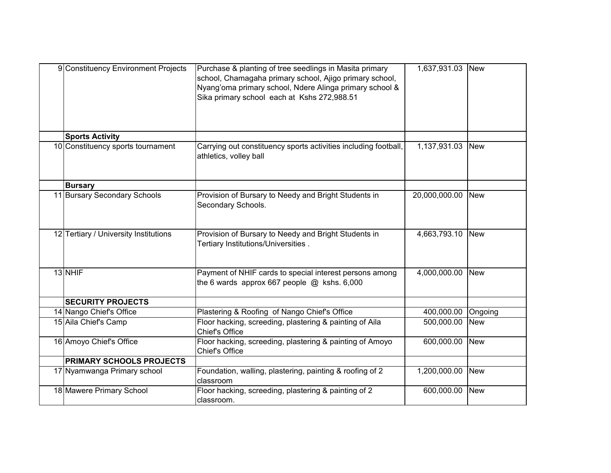| 9 Constituency Environment Projects   | Purchase & planting of tree seedlings in Masita primary<br>school, Chamagaha primary school, Ajigo primary school,<br>Nyang'oma primary school, Ndere Alinga primary school &<br>Sika primary school each at Kshs 272,988.51 | 1,637,931.03  | <b>New</b> |
|---------------------------------------|------------------------------------------------------------------------------------------------------------------------------------------------------------------------------------------------------------------------------|---------------|------------|
| <b>Sports Activity</b>                |                                                                                                                                                                                                                              |               |            |
| 10 Constituency sports tournament     | Carrying out constituency sports activities including football,<br>athletics, volley ball                                                                                                                                    | 1,137,931.03  | <b>New</b> |
| <b>Bursary</b>                        |                                                                                                                                                                                                                              |               |            |
| 11 Bursary Secondary Schools          | Provision of Bursary to Needy and Bright Students in<br>Secondary Schools.                                                                                                                                                   | 20,000,000.00 | <b>New</b> |
| 12 Tertiary / University Institutions | Provision of Bursary to Needy and Bright Students in<br>Tertiary Institutions/Universities.                                                                                                                                  | 4,663,793.10  | <b>New</b> |
| 13 NHIF                               | Payment of NHIF cards to special interest persons among<br>the 6 wards approx 667 people $@$ kshs. 6,000                                                                                                                     | 4,000,000.00  | <b>New</b> |
| <b>SECURITY PROJECTS</b>              |                                                                                                                                                                                                                              |               |            |
| 14 Nango Chief's Office               | Plastering & Roofing of Nango Chief's Office                                                                                                                                                                                 | 400,000.00    | Ongoing    |
| 15 Aila Chief's Camp                  | Floor hacking, screeding, plastering & painting of Aila<br>Chief's Office                                                                                                                                                    | 500,000.00    | <b>New</b> |
| 16 Amoyo Chief's Office               | Floor hacking, screeding, plastering & painting of Amoyo<br>Chief's Office                                                                                                                                                   | 600,000.00    | <b>New</b> |
| <b>PRIMARY SCHOOLS PROJECTS</b>       |                                                                                                                                                                                                                              |               |            |
| 17 Nyamwanga Primary school           | Foundation, walling, plastering, painting & roofing of 2<br>classroom                                                                                                                                                        | 1,200,000.00  | <b>New</b> |
| 18 Mawere Primary School              | Floor hacking, screeding, plastering & painting of 2<br>classroom.                                                                                                                                                           | 600,000.00    | <b>New</b> |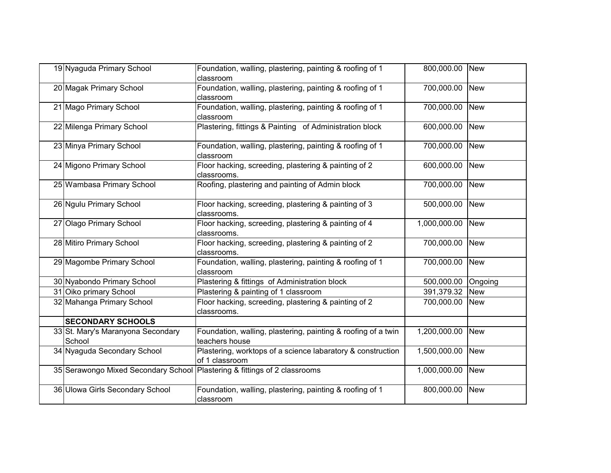| 19 Nyaguda Primary School                                                 | Foundation, walling, plastering, painting & roofing of 1<br>classroom           | 800,000.00 New     |            |
|---------------------------------------------------------------------------|---------------------------------------------------------------------------------|--------------------|------------|
| 20 Magak Primary School                                                   | Foundation, walling, plastering, painting & roofing of 1<br>classroom           | 700,000.00 New     |            |
| 21 Mago Primary School                                                    | Foundation, walling, plastering, painting & roofing of 1<br>classroom           | 700,000.00         | <b>New</b> |
| 22 Milenga Primary School                                                 | Plastering, fittings & Painting of Administration block                         | 600,000.00 New     |            |
| 23 Minya Primary School                                                   | Foundation, walling, plastering, painting & roofing of 1<br>classroom           | 700,000.00         | <b>New</b> |
| 24 Migono Primary School                                                  | Floor hacking, screeding, plastering & painting of 2<br>classrooms.             | 600,000.00 New     |            |
| 25 Wambasa Primary School                                                 | Roofing, plastering and painting of Admin block                                 | 700,000.00         | <b>New</b> |
| 26 Ngulu Primary School                                                   | Floor hacking, screeding, plastering & painting of 3<br>classrooms.             | 500,000.00 New     |            |
| 27 Olago Primary School                                                   | Floor hacking, screeding, plastering & painting of 4<br>classrooms.             | 1,000,000.00       | <b>New</b> |
| 28 Mitiro Primary School                                                  | Floor hacking, screeding, plastering & painting of 2<br>classrooms.             | 700,000.00 New     |            |
| 29 Magombe Primary School                                                 | Foundation, walling, plastering, painting & roofing of 1<br>classroom           | 700,000.00         | <b>New</b> |
| 30 Nyabondo Primary School                                                | Plastering & fittings of Administration block                                   | 500,000.00 Ongoing |            |
| 31 Oiko primary School                                                    | Plastering & painting of 1 classroom                                            | 391,379.32         | <b>New</b> |
| 32 Mahanga Primary School                                                 | Floor hacking, screeding, plastering & painting of 2<br>classrooms.             | 700,000.00         | <b>New</b> |
| <b>SECONDARY SCHOOLS</b>                                                  |                                                                                 |                    |            |
| 33 St. Mary's Maranyona Secondary<br>School                               | Foundation, walling, plastering, painting & roofing of a twin<br>teachers house | 1,200,000.00       | <b>New</b> |
| 34 Nyaguda Secondary School                                               | Plastering, worktops of a science labaratory & construction<br>of 1 classroom   | 1,500,000.00 New   |            |
| 35 Serawongo Mixed Secondary School Plastering & fittings of 2 classrooms |                                                                                 | 1,000,000.00       | <b>New</b> |
| 36 Ulowa Girls Secondary School                                           | Foundation, walling, plastering, painting & roofing of 1<br>classroom           | 800,000.00         | <b>New</b> |